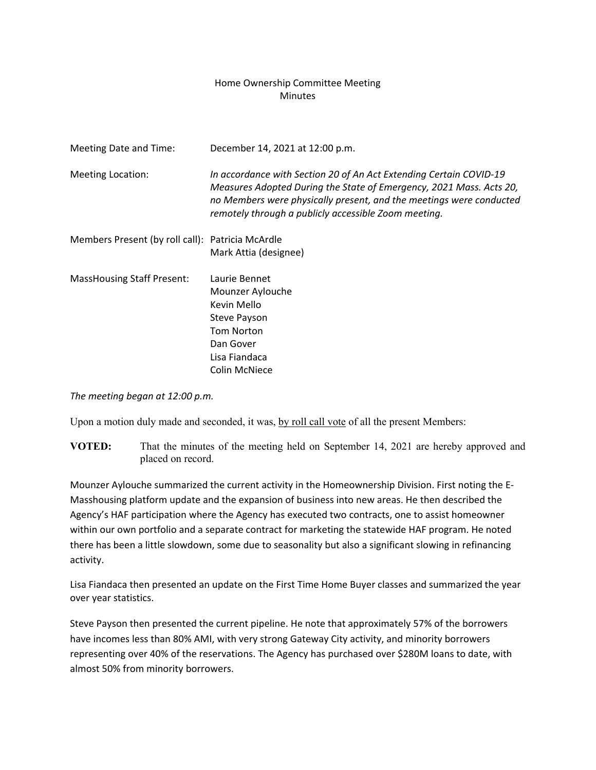## Home Ownership Committee Meeting **Minutes**

| Meeting Date and Time:                           | December 14, 2021 at 12:00 p.m.                                                                                                                                                                                                                                          |
|--------------------------------------------------|--------------------------------------------------------------------------------------------------------------------------------------------------------------------------------------------------------------------------------------------------------------------------|
| <b>Meeting Location:</b>                         | In accordance with Section 20 of An Act Extending Certain COVID-19<br>Measures Adopted During the State of Emergency, 2021 Mass. Acts 20,<br>no Members were physically present, and the meetings were conducted<br>remotely through a publicly accessible Zoom meeting. |
| Members Present (by roll call): Patricia McArdle | Mark Attia (designee)                                                                                                                                                                                                                                                    |
| <b>MassHousing Staff Present:</b>                | Laurie Bennet<br>Mounzer Aylouche<br>Kevin Mello<br>Steve Payson<br><b>Tom Norton</b><br>Dan Gover<br>Lisa Fiandaca<br><b>Colin McNiece</b>                                                                                                                              |

*The meeting began at 12:00 p.m.*

Upon a motion duly made and seconded, it was, by roll call vote of all the present Members:

**VOTED:** That the minutes of the meeting held on September 14, 2021 are hereby approved and placed on record.

Mounzer Aylouche summarized the current activity in the Homeownership Division. First noting the E‐ Masshousing platform update and the expansion of business into new areas. He then described the Agency's HAF participation where the Agency has executed two contracts, one to assist homeowner within our own portfolio and a separate contract for marketing the statewide HAF program. He noted there has been a little slowdown, some due to seasonality but also a significant slowing in refinancing activity.

Lisa Fiandaca then presented an update on the First Time Home Buyer classes and summarized the year over year statistics.

Steve Payson then presented the current pipeline. He note that approximately 57% of the borrowers have incomes less than 80% AMI, with very strong Gateway City activity, and minority borrowers representing over 40% of the reservations. The Agency has purchased over \$280M loans to date, with almost 50% from minority borrowers.